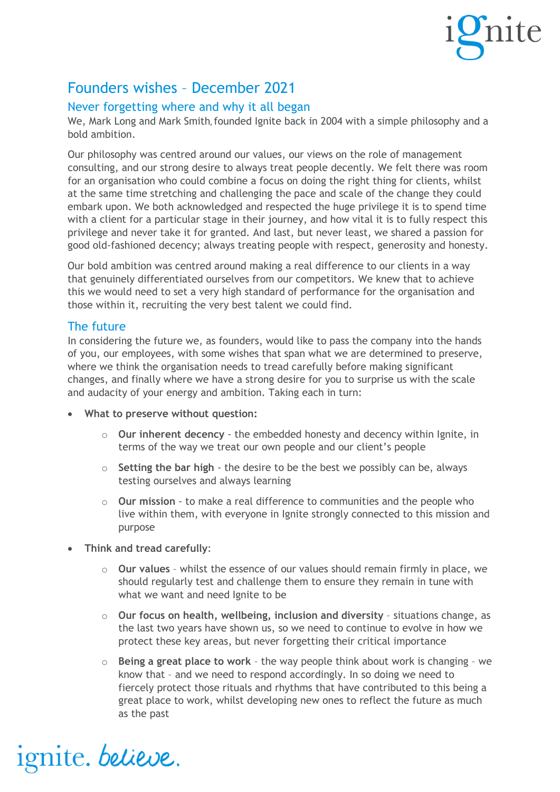

## Founders wishes – December 2021

## Never forgetting where and why it all began

We, Mark Long and Mark Smith, founded Ignite back in 2004 with a simple philosophy and a bold ambition.

Our philosophy was centred around our values, our views on the role of management consulting, and our strong desire to always treat people decently. We felt there was room for an organisation who could combine a focus on doing the right thing for clients, whilst at the same time stretching and challenging the pace and scale of the change they could embark upon. We both acknowledged and respected the huge privilege it is to spend time with a client for a particular stage in their journey, and how vital it is to fully respect this privilege and never take it for granted. And last, but never least, we shared a passion for good old-fashioned decency; always treating people with respect, generosity and honesty.

Our bold ambition was centred around making a real difference to our clients in a way that genuinely differentiated ourselves from our competitors. We knew that to achieve this we would need to set a very high standard of performance for the organisation and those within it, recruiting the very best talent we could find.

## The future

In considering the future we, as founders, would like to pass the company into the hands of you, our employees, with some wishes that span what we are determined to preserve, where we think the organisation needs to tread carefully before making significant changes, and finally where we have a strong desire for you to surprise us with the scale and audacity of your energy and ambition. Taking each in turn:

- **What to preserve without question:**
	- o **Our inherent decency** the embedded honesty and decency within Ignite, in terms of the way we treat our own people and our client's people
	- o **Setting the bar high** the desire to be the best we possibly can be, always testing ourselves and always learning
	- o **Our mission** to make a real difference to communities and the people who live within them, with everyone in Ignite strongly connected to this mission and purpose
- **Think and tread carefully**:

ignite. believe.

- o **Our values**  whilst the essence of our values should remain firmly in place, we should regularly test and challenge them to ensure they remain in tune with what we want and need Ignite to be
- o **Our focus on health, wellbeing, inclusion and diversity**  situations change, as the last two years have shown us, so we need to continue to evolve in how we protect these key areas, but never forgetting their critical importance
- o **Being a great place to work**  the way people think about work is changing we know that – and we need to respond accordingly. In so doing we need to fiercely protect those rituals and rhythms that have contributed to this being a great place to work, whilst developing new ones to reflect the future as much as the past